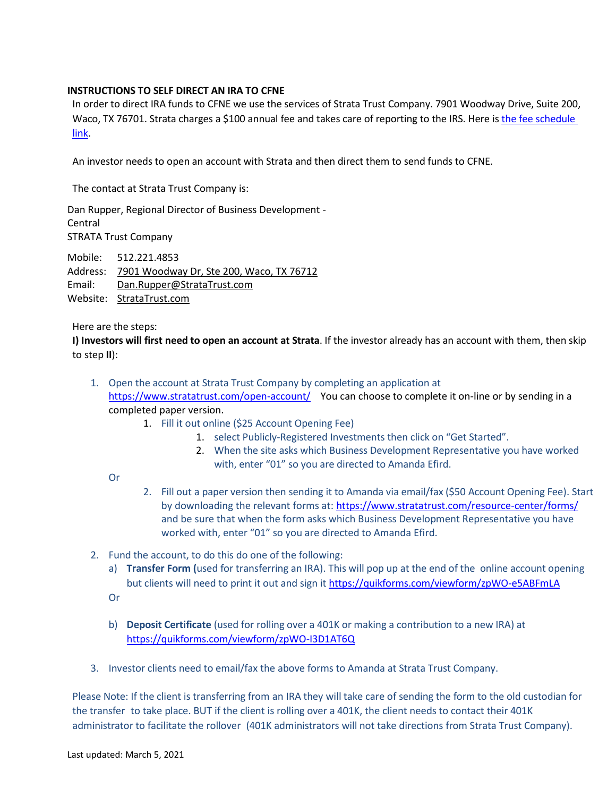## **INSTRUCTIONS TO SELF DIRECT AN IRA TO CFNE**

In order to direct IRA funds to CFNE we use the services of Strata Trust Company. 7901 Woodway Drive, Suite 200, Waco, TX 76701. Strata charges a \$100 annual fee and takes care of reporting to the IRS. Here is the fee [schedule](https://www.stratatrust.com/resource-center/fees/)  [link.](https://www.stratatrust.com/resource-center/fees/)

An investor needs to open an account with Strata and then direct them to send funds to CFNE.

The contact at Strata Trust Company is:

Dan Rupper, Regional Director of Business Development - Central STRATA Trust Company

Mobile: 512.221.4853 Address: [7901 Woodway Dr, Ste 200, Waco, TX 76712](https://t.sidekickopen81.com/s1t/c/5/f18dQhb0S7kF8cVQrRW1lhRpc59hl3kW7_k2841CXdp3VPwQWs1DpPX6N2bzNKx87tF7101?te=W3R5hFj4cm2zwW41PG051S0G7cW3M1YQr41TRgPW45TRgW3K2B2XW43Tw8Z4hMntNW43SfLS43T4N9W4hLywB3R5hFjW4cbjZB1mp7wVW1SbFVJ4m8kRmW43QJhh1JxwY5W1mp7yc3zfQ5mW1SbFgj3z8mJQW1SbBKn30h_xyW1mp79P49S936W1mp79t43TbtZW41-x3W2zpLnHW1V0k_m1N5xJgW1-YPGs2syr5_W1J81cb1X07K3W1mp7fV21sVTlW2zW1fY3yHtWjW1cwSVw1TVHHyW20NTTN1-QkbcW1NFg2Y1XnZxlW24Shsd3C6X1QW3M1q4c2nDJ39W3M0Cgx3LGZjkW1S57011NvMW1W1SygCt1N4HJ4W2qWsjh3HdknyW1mp79v49cNmHW1mp61x1V0MFnW1mp7fG1S8Y9kW43PsRt4r1BV_W1mp79P3cXzgTW20YD8S1RX7lFW1PYChm1RX7lHW1V0k_m1N5xJgW1Q5KJ63GGsL5W1J816C1S3tg6W1cwrpY1cvC_2W4pbZMs3LJ6l9W1N61Gw3K2W3LW1YTrM51NFl4-W3DLtBg3F6cmsW3LFDqw1N4HldW3_sqx33GJYTPW1YZ0ZL1W-WgSW1Xn5C_20VgY4W22VvC81-StNQW45rXbN4fDSQFW1RYQBy1N4HJ9W2sL3z61JpsnWW45Nqlt1W-B5bW49HSFX4fN0R3W4fdHZS3_m2htW24VNZ61-YQQ7W3DLv111X0yGlW3z9y4R1N7JyfW3C6vLH3BPYP0W1mrcF81W--8FW25dTbB3z9btTW23f2yP1YZ0KvW3DLRmT1N6nfPW1N7h3h2120KDW2120KD2121fkW20WxVv1X1nCDW1Q4XMY1X0z9JW1pLjNY29jg5cW4fDSQP4kcTkgW2nXR2r2Ww00YW1VpGv23H8-rCW1mp7963BLGlZW3d8s_r2zyMz2W3Y2yvr45zzJwW1mpyR23zdyqGW49KwsN49Szj434dJ2&si=8000000002888448&pi=8144aa9d-2c54-48d6-8c24-c503cb3e5a85) Email: [Dan.Rupper@StrataTrust.com](mailto:Dan.Rupper@StrataTrust.com) Website: [StrataTrust.com](https://t.sidekickopen81.com/s1t/c/5/f18dQhb0S7kF8cVQrRW1lhRpc59hl3kW7_k2841CXdp3VPwQWs1DpPX6N2bzNKx87tF7101?te=W3R5hFj4cm2zwW41PG051S0G7cW3M1YQr41TRgPW45TRgW3K2B2XW43Tw8Z4hMntNW43SfLS43T4N9W4hLywB3R5hFjW1mpyyQ1SbwGHW2B0j2q3zhrs0W49S9361JxwY5W1mp7wW3zdyqGW3H3bCk2dLnWfW2120KS1mrcFnW3zdT5R4hKKY1W49cNxR4cQh_BW4fDYGC4hL-HTW3Fbt5G2121wCW3BNgNS1S3y1XW3LHK211Q6dQ4W20W5K03GLJ4zW3JJR5l21hLqBW2sD_W53F4-p6W25dwdD3DLRtmW1Q68Xv1NvShqW20Zrv_22X_0cW3GC6MQ1M_KB9W1M_KB91-YRdNW22WksG1Q6B2fW22X8pV20XlgfW3_Ygfy3H3bCkW2fcfqx1VwVQdW2Wp-j91-XzQGW1SbD5m1S8Yr3W2RPQ122YvTmKW4f8Tn62Wy6v1W47Tcwg2xN_K-W3SLQNN2vt6RpW45rYrc4cJ2Vxf3K2WHM04&si=8000000002888448&pi=8144aa9d-2c54-48d6-8c24-c503cb3e5a85)

Here are the steps:

**I) Investors will first need to open an account at Strata**. If the investor already has an account with them, then skip to step **II**):

- 1. Open the account at Strata Trust Company by completing an application at <https://www.stratatrust.com/open-account/> You can choose to complete it on-line or by sending in a completed paper version.
	- 1. Fill it out online (\$25 Account Opening Fee)
		- 1. select Publicly-Registered Investments then click on "Get Started".
		- 2. When the site asks which Business Development Representative you have worked with, enter "01" so you are directed to Amanda Efird.

Or

- 2. Fill out a paper version then sending it to Amanda via email/fax (\$50 Account Opening Fee). Start by downloading the relevant forms at:<https://www.stratatrust.com/resource-center/forms/> and be sure that when the form asks which Business Development Representative you have worked with, enter "01" so you are directed to Amanda Efird.
- 2. Fund the account, to do this do one of the following:
	- a) **Transfer Form (**used for transferring an IRA). This will pop up at the end of the online account opening but clients will need to print it out and sign it https://quikforms.com/viewform/zpWO-e5ABFmLA
	- Or
	- b) **Deposit Certificate** (used for rolling over a 401K or making a contribution to a new IRA) at <https://quikforms.com/viewform/zpWO-I3D1AT6Q>
- 3. Investor clients need to email/fax the above forms to Amanda at Strata Trust Company.

Please Note: If the client is transferring from an IRA they will take care of sending the form to the old custodian for the transfer to take place. BUT if the client is rolling over a 401K, the client needs to contact their 401K administrator to facilitate the rollover (401K administrators will not take directions from Strata Trust Company).